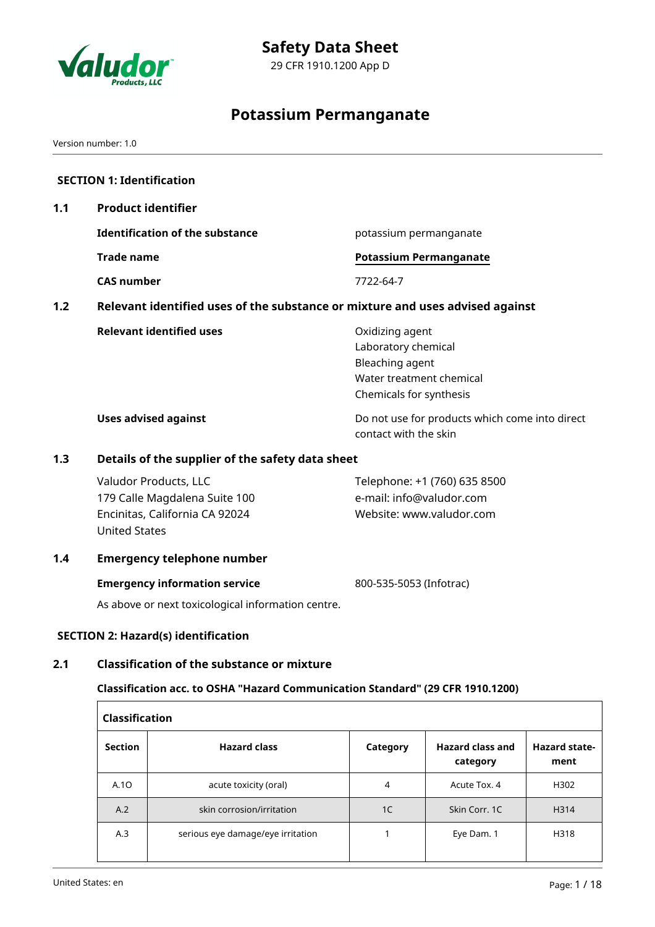

# **Potassium Permanganate**

Version number: 1.0

|     | <b>SECTION 1: Identification</b>                                                                                                                |                                                                                                                  |  |  |  |
|-----|-------------------------------------------------------------------------------------------------------------------------------------------------|------------------------------------------------------------------------------------------------------------------|--|--|--|
| 1.1 | <b>Product identifier</b>                                                                                                                       |                                                                                                                  |  |  |  |
|     | <b>Identification of the substance</b>                                                                                                          | potassium permanganate                                                                                           |  |  |  |
|     | <b>Trade name</b>                                                                                                                               | <b>Potassium Permanganate</b>                                                                                    |  |  |  |
|     | <b>CAS number</b>                                                                                                                               | 7722-64-7                                                                                                        |  |  |  |
| 1.2 | Relevant identified uses of the substance or mixture and uses advised against                                                                   |                                                                                                                  |  |  |  |
|     | <b>Relevant identified uses</b>                                                                                                                 | Oxidizing agent<br>Laboratory chemical<br>Bleaching agent<br>Water treatment chemical<br>Chemicals for synthesis |  |  |  |
|     | <b>Uses advised against</b>                                                                                                                     | Do not use for products which come into direct<br>contact with the skin                                          |  |  |  |
| 1.3 | Details of the supplier of the safety data sheet                                                                                                |                                                                                                                  |  |  |  |
|     | Valudor Products, LLC<br>179 Calle Magdalena Suite 100<br>Encinitas, California CA 92024<br><b>United States</b>                                | Telephone: +1 (760) 635 8500<br>e-mail: info@valudor.com<br>Website: www.valudor.com                             |  |  |  |
| 1.4 | <b>Emergency telephone number</b>                                                                                                               |                                                                                                                  |  |  |  |
|     | <b>Emergency information service</b>                                                                                                            | 800-535-5053 (Infotrac)                                                                                          |  |  |  |
|     | As above or next toxicological information centre.                                                                                              |                                                                                                                  |  |  |  |
|     | <b>SECTION 2: Hazard(s) identification</b>                                                                                                      |                                                                                                                  |  |  |  |
| 2.1 | <b>Classification of the substance or mixture</b><br>Classification acc. to OSHA "Hazard Communication Standard" (29 CFR 1910.1200)<br>$\sim$ 1 |                                                                                                                  |  |  |  |
|     |                                                                                                                                                 |                                                                                                                  |  |  |  |

| <b>Classification</b> |                                   |                |                                     |                              |  |  |
|-----------------------|-----------------------------------|----------------|-------------------------------------|------------------------------|--|--|
| <b>Section</b>        | <b>Hazard class</b>               | Category       | <b>Hazard class and</b><br>category | <b>Hazard state-</b><br>ment |  |  |
| A.10                  | acute toxicity (oral)             | $\overline{4}$ | Acute Tox, 4                        | H302                         |  |  |
| A.2                   | skin corrosion/irritation         | 1 <sup>C</sup> | Skin Corr. 1C                       | H314                         |  |  |
| A.3                   | serious eye damage/eye irritation |                | Eye Dam. 1                          | H318                         |  |  |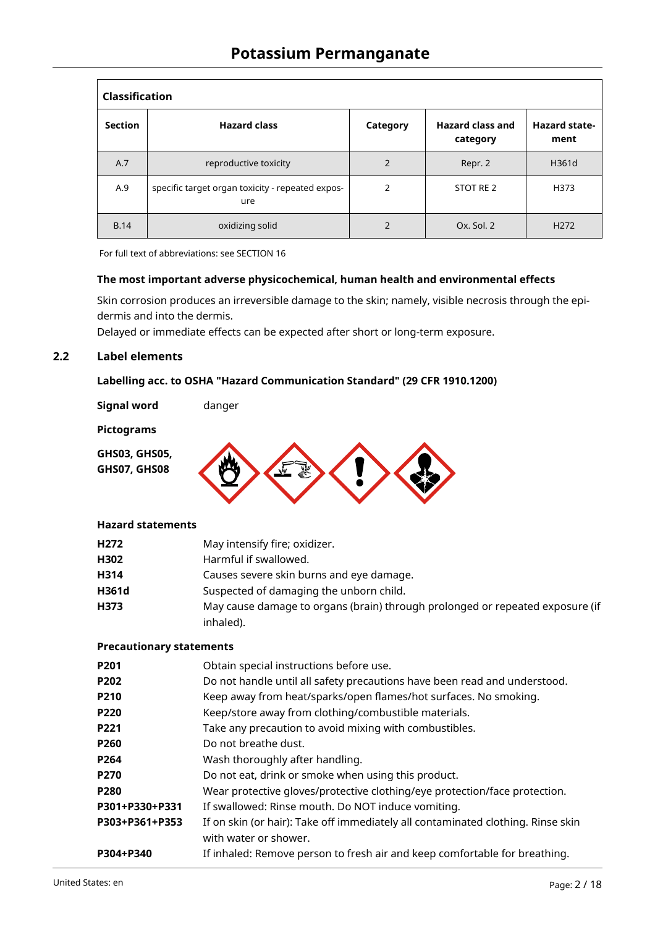| <b>Classification</b> |                                                         |                |                                     |                              |  |
|-----------------------|---------------------------------------------------------|----------------|-------------------------------------|------------------------------|--|
| <b>Section</b>        | <b>Hazard class</b>                                     | Category       | <b>Hazard class and</b><br>category | <b>Hazard state-</b><br>ment |  |
| A.7                   | reproductive toxicity                                   | $\overline{2}$ | Repr. 2                             | H361d                        |  |
| A.9                   | specific target organ toxicity - repeated expos-<br>ure | $\overline{2}$ | STOT RE 2                           | H373                         |  |
| <b>B.14</b>           | oxidizing solid                                         | 2              | Ox. Sol. 2                          | H <sub>272</sub>             |  |

For full text of abbreviations: see SECTION 16

## **The most important adverse physicochemical, human health and environmental effects**

Skin corrosion produces an irreversible damage to the skin; namely, visible necrosis through the epidermis and into the dermis.

Delayed or immediate effects can be expected after short or long-term exposure.

## **2.2 Label elements**

## **Labelling acc. to OSHA "Hazard Communication Standard" (29 CFR 1910.1200)**

**Signal word** danger

#### **Pictograms**

**GHS03, GHS05,**





## **Hazard statements**

| H <sub>272</sub> | May intensify fire; oxidizer.                                                 |
|------------------|-------------------------------------------------------------------------------|
| H302             | Harmful if swallowed.                                                         |
| H314             | Causes severe skin burns and eye damage.                                      |
| H361d            | Suspected of damaging the unborn child.                                       |
| H373             | May cause damage to organs (brain) through prolonged or repeated exposure (if |
|                  | inhaled).                                                                     |

## **Precautionary statements**

| P201             | Obtain special instructions before use.                                                                   |
|------------------|-----------------------------------------------------------------------------------------------------------|
| P202             | Do not handle until all safety precautions have been read and understood.                                 |
| P210             | Keep away from heat/sparks/open flames/hot surfaces. No smoking.                                          |
| <b>P220</b>      | Keep/store away from clothing/combustible materials.                                                      |
| P221             | Take any precaution to avoid mixing with combustibles.                                                    |
| P260             | Do not breathe dust.                                                                                      |
| P <sub>264</sub> | Wash thoroughly after handling.                                                                           |
| <b>P270</b>      | Do not eat, drink or smoke when using this product.                                                       |
| <b>P280</b>      | Wear protective gloves/protective clothing/eye protection/face protection.                                |
| P301+P330+P331   | If swallowed: Rinse mouth. Do NOT induce vomiting.                                                        |
| P303+P361+P353   | If on skin (or hair): Take off immediately all contaminated clothing. Rinse skin<br>with water or shower. |
| P304+P340        | If inhaled: Remove person to fresh air and keep comfortable for breathing.                                |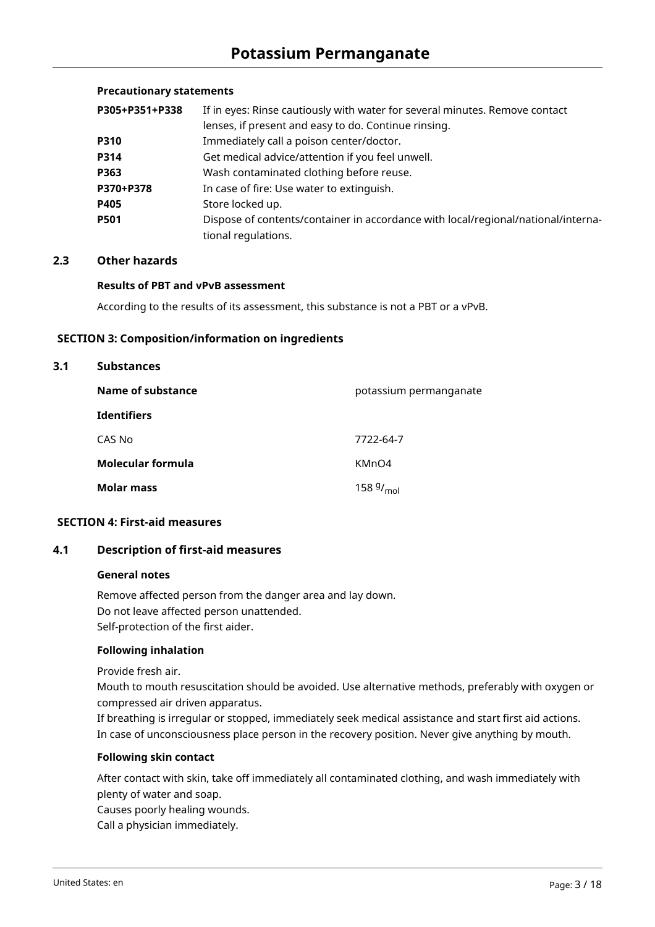## **Precautionary statements**

| P305+P351+P338 | If in eyes: Rinse cautiously with water for several minutes. Remove contact       |  |  |
|----------------|-----------------------------------------------------------------------------------|--|--|
|                | lenses, if present and easy to do. Continue rinsing.                              |  |  |
| P310           | Immediately call a poison center/doctor.                                          |  |  |
| P314           | Get medical advice/attention if you feel unwell.                                  |  |  |
| P363           | Wash contaminated clothing before reuse.                                          |  |  |
| P370+P378      | In case of fire: Use water to extinguish.                                         |  |  |
| P405           | Store locked up.                                                                  |  |  |
| P501           | Dispose of contents/container in accordance with local/regional/national/interna- |  |  |
|                | tional regulations.                                                               |  |  |

## **2.3 Other hazards**

## **Results of PBT and vPvB assessment**

According to the results of its assessment, this substance is not a PBT or a vPvB.

#### **SECTION 3: Composition/information on ingredients**

#### **3.1 Substances**

| Name of substance  | potassium permanganate |
|--------------------|------------------------|
| <b>Identifiers</b> |                        |
| CAS No             | 7722-64-7              |
| Molecular formula  | KMnO4                  |
| <b>Molar mass</b>  | 158 $9/_{mol}$         |

## **SECTION 4: First-aid measures**

## **4.1 Description of first-aid measures**

#### **General notes**

Remove affected person from the danger area and lay down. Do not leave affected person unattended. Self-protection of the first aider.

## **Following inhalation**

Provide fresh air.

Mouth to mouth resuscitation should be avoided. Use alternative methods, preferably with oxygen or compressed air driven apparatus.

If breathing is irregular or stopped, immediately seek medical assistance and start first aid actions. In case of unconsciousness place person in the recovery position. Never give anything by mouth.

## **Following skin contact**

After contact with skin, take off immediately all contaminated clothing, and wash immediately with plenty of water and soap.

Causes poorly healing wounds.

Call a physician immediately.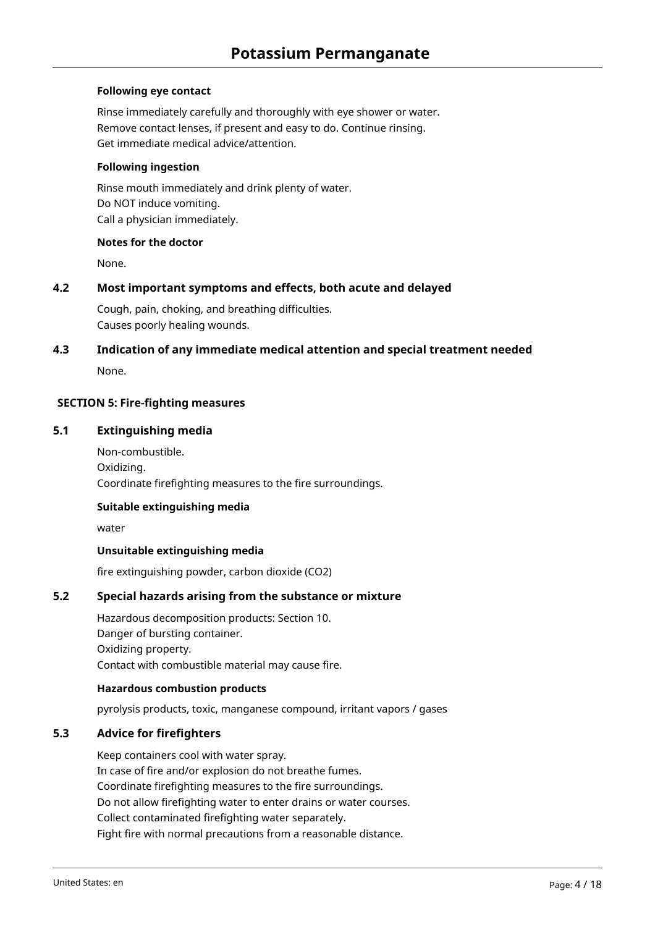## **Following eye contact**

Rinse immediately carefully and thoroughly with eye shower or water. Remove contact lenses, if present and easy to do. Continue rinsing. Get immediate medical advice/attention.

#### **Following ingestion**

Rinse mouth immediately and drink plenty of water. Do NOT induce vomiting. Call a physician immediately.

#### **Notes for the doctor**

None.

## **4.2 Most important symptoms and effects, both acute and delayed**

Cough, pain, choking, and breathing difficulties. Causes poorly healing wounds.

# **4.3 Indication of any immediate medical attention and special treatment needed**

None.

## **SECTION 5: Fire-fighting measures**

## **5.1 Extinguishing media**

Non-combustible. Oxidizing. Coordinate firefighting measures to the fire surroundings.

## **Suitable extinguishing media**

water

## **Unsuitable extinguishing media**

fire extinguishing powder, carbon dioxide (CO2)

## **5.2 Special hazards arising from the substance or mixture**

Hazardous decomposition products: Section 10. Danger of bursting container. Oxidizing property. Contact with combustible material may cause fire.

## **Hazardous combustion products**

pyrolysis products, toxic, manganese compound, irritant vapors / gases

## **5.3 Advice for firefighters**

Keep containers cool with water spray. In case of fire and/or explosion do not breathe fumes. Coordinate firefighting measures to the fire surroundings. Do not allow firefighting water to enter drains or water courses. Collect contaminated firefighting water separately. Fight fire with normal precautions from a reasonable distance.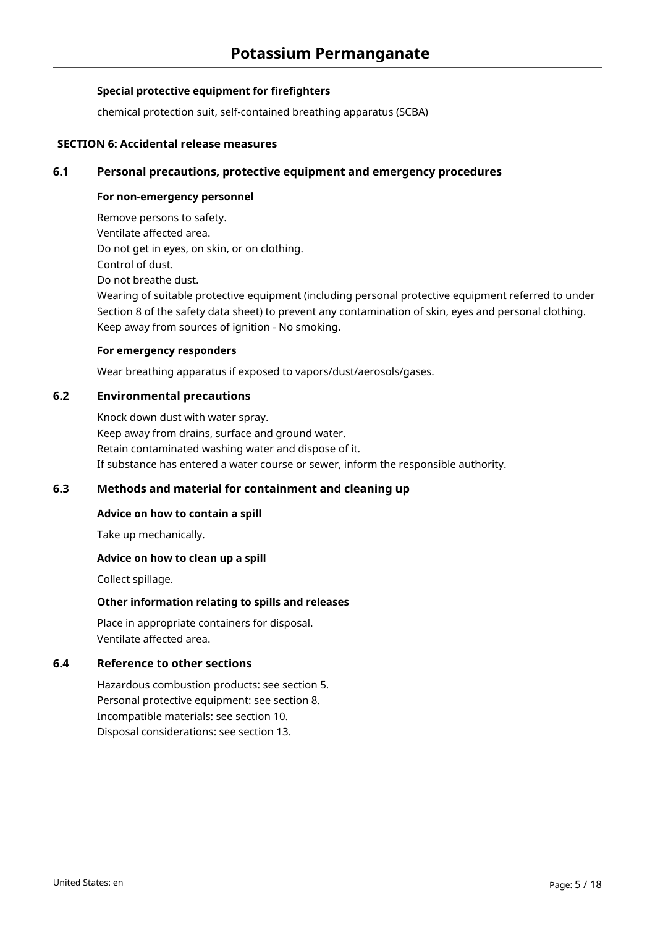## **Special protective equipment for firefighters**

chemical protection suit, self-contained breathing apparatus (SCBA)

## **SECTION 6: Accidental release measures**

## **6.1 Personal precautions, protective equipment and emergency procedures**

### **For non-emergency personnel**

Remove persons to safety. Ventilate affected area. Do not get in eyes, on skin, or on clothing. Control of dust. Do not breathe dust. Wearing of suitable protective equipment (including personal protective equipment referred to under Section 8 of the safety data sheet) to prevent any contamination of skin, eyes and personal clothing. Keep away from sources of ignition - No smoking.

#### **For emergency responders**

Wear breathing apparatus if exposed to vapors/dust/aerosols/gases.

## **6.2 Environmental precautions**

Knock down dust with water spray. Keep away from drains, surface and ground water. Retain contaminated washing water and dispose of it. If substance has entered a water course or sewer, inform the responsible authority.

## **6.3 Methods and material for containment and cleaning up**

## **Advice on how to contain a spill**

Take up mechanically.

## **Advice on how to clean up a spill**

Collect spillage.

## **Other information relating to spills and releases**

Place in appropriate containers for disposal. Ventilate affected area.

## **6.4 Reference to other sections**

Hazardous combustion products: see section 5. Personal protective equipment: see section 8. Incompatible materials: see section 10. Disposal considerations: see section 13.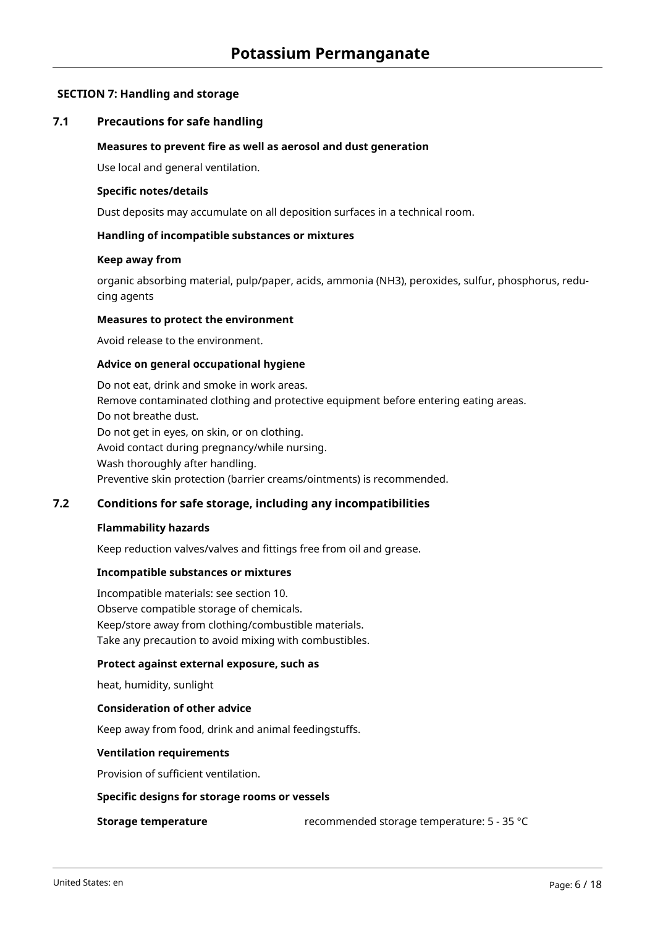## **SECTION 7: Handling and storage**

## **7.1 Precautions for safe handling**

#### **Measures to prevent fire as well as aerosol and dust generation**

Use local and general ventilation.

#### **Specific notes/details**

Dust deposits may accumulate on all deposition surfaces in a technical room.

## **Handling of incompatible substances or mixtures**

#### **Keep away from**

organic absorbing material, pulp/paper, acids, ammonia (NH3), peroxides, sulfur, phosphorus, reducing agents

## **Measures to protect the environment**

Avoid release to the environment.

#### **Advice on general occupational hygiene**

Do not eat, drink and smoke in work areas. Remove contaminated clothing and protective equipment before entering eating areas. Do not breathe dust. Do not get in eyes, on skin, or on clothing. Avoid contact during pregnancy/while nursing. Wash thoroughly after handling. Preventive skin protection (barrier creams/ointments) is recommended.

## **7.2 Conditions for safe storage, including any incompatibilities**

#### **Flammability hazards**

Keep reduction valves/valves and fittings free from oil and grease.

#### **Incompatible substances or mixtures**

Incompatible materials: see section 10. Observe compatible storage of chemicals. Keep/store away from clothing/combustible materials. Take any precaution to avoid mixing with combustibles.

#### **Protect against external exposure, such as**

heat, humidity, sunlight

## **Consideration of other advice**

Keep away from food, drink and animal feedingstuffs.

#### **Ventilation requirements**

Provision of sufficient ventilation.

#### **Specific designs for storage rooms or vessels**

**Storage temperature** recommended storage temperature: 5 - 35 °C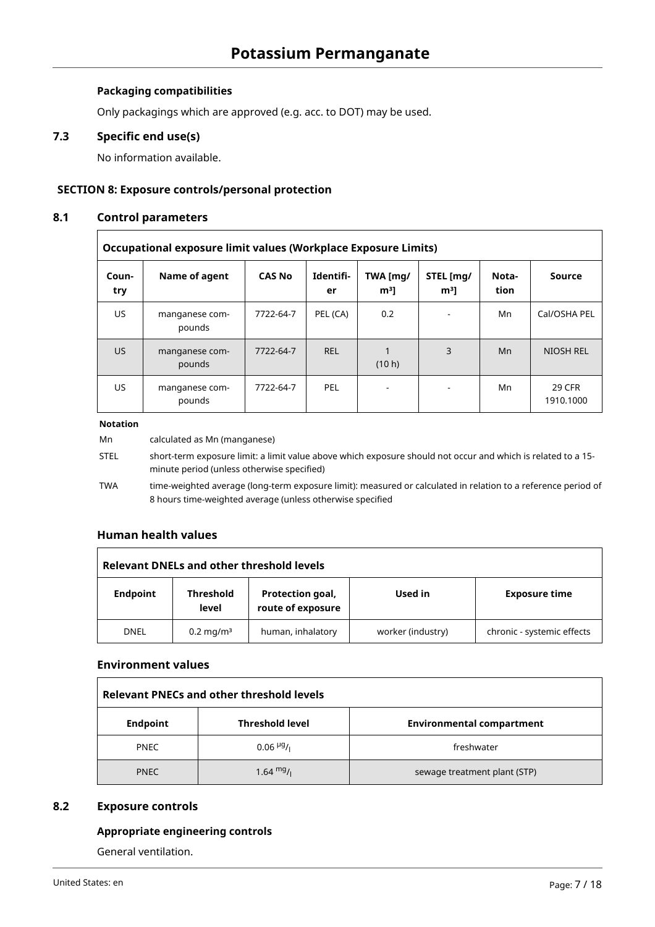## **Packaging compatibilities**

Only packagings which are approved (e.g. acc. to DOT) may be used.

## **7.3 Specific end use(s)**

No information available.

## **SECTION 8: Exposure controls/personal protection**

## **8.1 Control parameters**

| Occupational exposure limit values (Workplace Exposure Limits) |                          |               |                 |                            |                             |               |                            |
|----------------------------------------------------------------|--------------------------|---------------|-----------------|----------------------------|-----------------------------|---------------|----------------------------|
| Coun-<br>try                                                   | Name of agent            | <b>CAS No</b> | Identifi-<br>er | TWA [mg/<br>m <sup>3</sup> | STEL [mg/<br>m <sup>3</sup> | Nota-<br>tion | Source                     |
| US.                                                            | manganese com-<br>pounds | 7722-64-7     | PEL (CA)        | 0.2                        | $\overline{\phantom{a}}$    | Mn            | Cal/OSHA PEL               |
| US.                                                            | manganese com-<br>pounds | 7722-64-7     | <b>REL</b>      | (10 h)                     | 3                           | Mn            | NIOSH REL                  |
| US                                                             | manganese com-<br>pounds | 7722-64-7     | PEL             | $\overline{\phantom{0}}$   | $\overline{\phantom{0}}$    | Mn            | <b>29 CFR</b><br>1910.1000 |

#### **Notation**

| Mn          | calculated as Mn (manganese)                                                                                                                                               |
|-------------|----------------------------------------------------------------------------------------------------------------------------------------------------------------------------|
| <b>STEL</b> | short-term exposure limit: a limit value above which exposure should not occur and which is related to a 15-<br>minute period (unless otherwise specified)                 |
| <b>TWA</b>  | time-weighted average (long-term exposure limit): measured or calculated in relation to a reference period of<br>8 hours time-weighted average (unless otherwise specified |

## **Human health values**

| Relevant DNELs and other threshold levels |                           |                                       |                   |                            |  |
|-------------------------------------------|---------------------------|---------------------------------------|-------------------|----------------------------|--|
| <b>Endpoint</b>                           | <b>Threshold</b><br>level | Protection goal,<br>route of exposure | Used in           | <b>Exposure time</b>       |  |
| <b>DNEL</b>                               | $0.2 \,\mathrm{mq/m^3}$   | human, inhalatory                     | worker (industry) | chronic - systemic effects |  |

## **Environment values**

| <b>Relevant PNECs and other threshold levels</b> |                                     |                                  |  |  |
|--------------------------------------------------|-------------------------------------|----------------------------------|--|--|
| <b>Endpoint</b>                                  | <b>Threshold level</b>              | <b>Environmental compartment</b> |  |  |
| <b>PNEC</b>                                      | $0.06$ <sup>µg</sup> / <sub>1</sub> | freshwater                       |  |  |
| <b>PNEC</b>                                      | 1.64 $mg/1$                         | sewage treatment plant (STP)     |  |  |

## **8.2 Exposure controls**

## **Appropriate engineering controls**

General ventilation.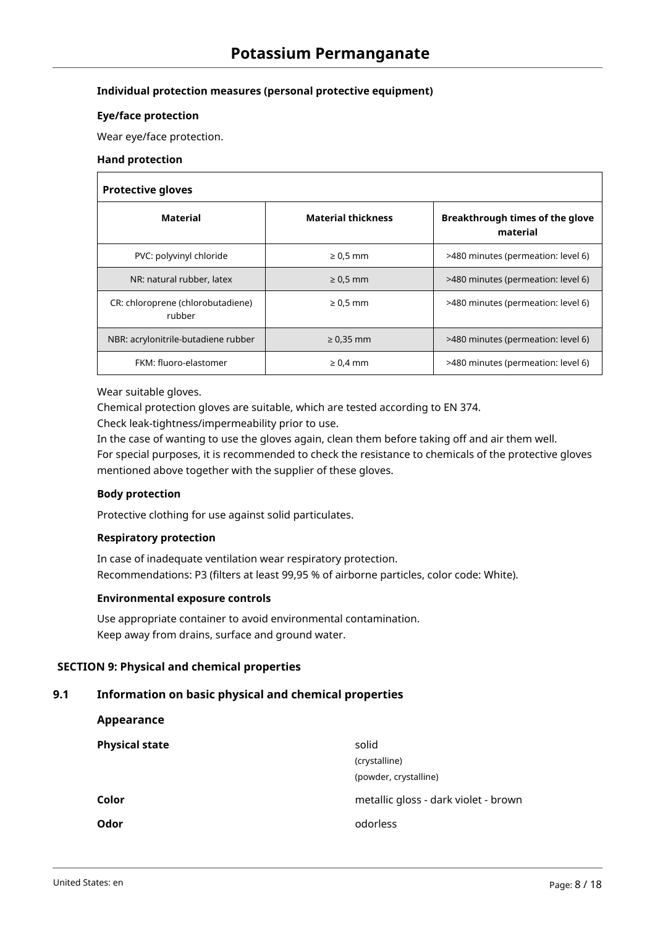## **Individual protection measures (personal protective equipment)**

#### **Eye/face protection**

Wear eye/face protection.

#### **Hand protection**

#### **Protective gloves**

| .                                           |                           |                                             |  |  |  |
|---------------------------------------------|---------------------------|---------------------------------------------|--|--|--|
| <b>Material</b>                             | <b>Material thickness</b> | Breakthrough times of the glove<br>material |  |  |  |
| PVC: polyvinyl chloride                     | $\geq 0.5$ mm             | >480 minutes (permeation: level 6)          |  |  |  |
| NR: natural rubber, latex                   | $\geq 0.5$ mm             | >480 minutes (permeation: level 6)          |  |  |  |
| CR: chloroprene (chlorobutadiene)<br>rubber | $\geq 0.5$ mm             | >480 minutes (permeation: level 6)          |  |  |  |
| NBR: acrylonitrile-butadiene rubber         | $\geq 0.35$ mm            | >480 minutes (permeation: level 6)          |  |  |  |
| FKM: fluoro-elastomer                       | $\geq 0.4$ mm             | >480 minutes (permeation: level 6)          |  |  |  |

#### Wear suitable gloves.

Chemical protection gloves are suitable, which are tested according to EN 374.

Check leak-tightness/impermeability prior to use.

In the case of wanting to use the gloves again, clean them before taking off and air them well.

For special purposes, it is recommended to check the resistance to chemicals of the protective gloves mentioned above together with the supplier of these gloves.

#### **Body protection**

**Appearance**

Protective clothing for use against solid particulates.

## **Respiratory protection**

In case of inadequate ventilation wear respiratory protection. Recommendations: P3 (filters at least 99,95 % of airborne particles, color code: White).

#### **Environmental exposure controls**

Use appropriate container to avoid environmental contamination. Keep away from drains, surface and ground water.

## **SECTION 9: Physical and chemical properties**

## **9.1 Information on basic physical and chemical properties**

| solid                                |
|--------------------------------------|
| (crystalline)                        |
| (powder, crystalline)                |
| metallic gloss - dark violet - brown |
| odorless                             |
|                                      |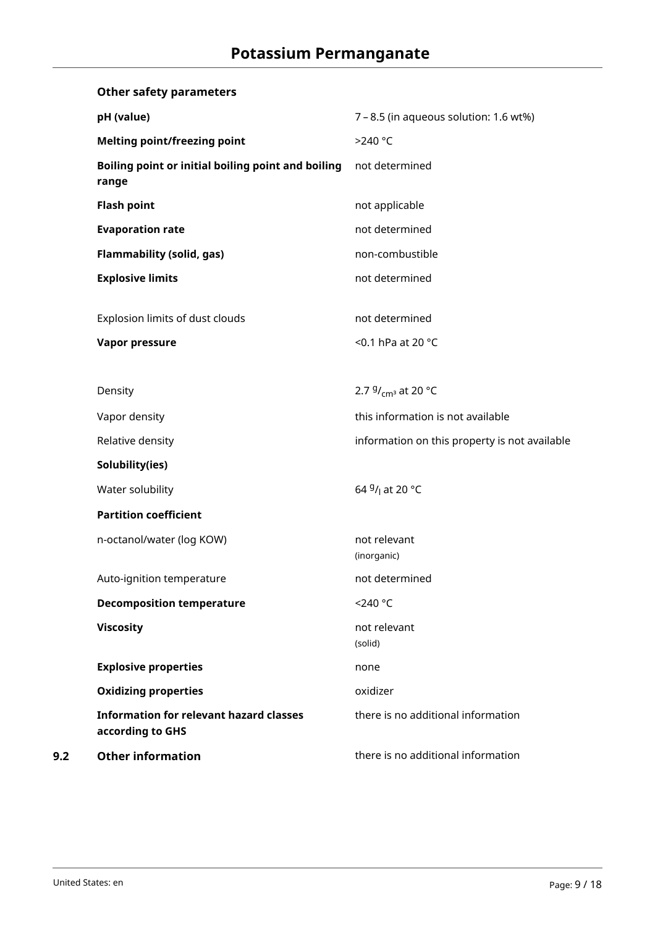|     | <b>Other safety parameters</b>                                     |                                               |
|-----|--------------------------------------------------------------------|-----------------------------------------------|
|     | pH (value)                                                         | 7 - 8.5 (in aqueous solution: 1.6 wt%)        |
|     | <b>Melting point/freezing point</b>                                | >240 °C                                       |
|     | Boiling point or initial boiling point and boiling<br>range        | not determined                                |
|     | <b>Flash point</b>                                                 | not applicable                                |
|     | <b>Evaporation rate</b>                                            | not determined                                |
|     | <b>Flammability (solid, gas)</b>                                   | non-combustible                               |
|     | <b>Explosive limits</b>                                            | not determined                                |
|     | Explosion limits of dust clouds<br><b>Vapor pressure</b>           | not determined<br><0.1 hPa at 20 °C           |
|     | Density                                                            | 2.7 $9/$ <sub>cm</sub> <sup>3</sup> at 20 °C  |
|     | Vapor density                                                      | this information is not available             |
|     | Relative density                                                   | information on this property is not available |
|     | Solubility(ies)                                                    |                                               |
|     | Water solubility                                                   | 64 <sup>g</sup> / <sub>l</sub> at 20 °C       |
|     | <b>Partition coefficient</b>                                       |                                               |
|     | n-octanol/water (log KOW)                                          | not relevant<br>(inorganic)                   |
|     | Auto-ignition temperature                                          | not determined                                |
|     | <b>Decomposition temperature</b>                                   | <240 °C                                       |
|     | <b>Viscosity</b>                                                   | not relevant<br>(solid)                       |
|     | <b>Explosive properties</b>                                        | none                                          |
|     | <b>Oxidizing properties</b>                                        | oxidizer                                      |
|     | <b>Information for relevant hazard classes</b><br>according to GHS | there is no additional information            |
| 9.2 | <b>Other information</b>                                           | there is no additional information            |
|     |                                                                    |                                               |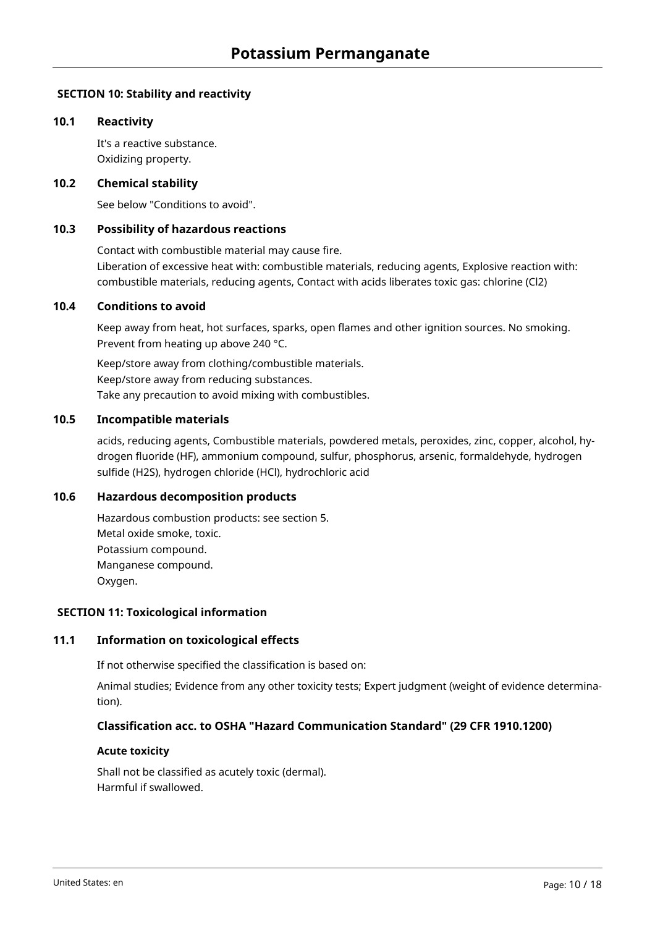## **SECTION 10: Stability and reactivity**

## **10.1 Reactivity**

It's a reactive substance. Oxidizing property.

### **10.2 Chemical stability**

See below "Conditions to avoid".

## **10.3 Possibility of hazardous reactions**

Contact with combustible material may cause fire. Liberation of excessive heat with: combustible materials, reducing agents, Explosive reaction with: combustible materials, reducing agents, Contact with acids liberates toxic gas: chlorine (Cl2)

#### **10.4 Conditions to avoid**

Keep away from heat, hot surfaces, sparks, open flames and other ignition sources. No smoking. Prevent from heating up above 240 °C.

Keep/store away from clothing/combustible materials. Keep/store away from reducing substances. Take any precaution to avoid mixing with combustibles.

## **10.5 Incompatible materials**

acids, reducing agents, Combustible materials, powdered metals, peroxides, zinc, copper, alcohol, hydrogen fluoride (HF), ammonium compound, sulfur, phosphorus, arsenic, formaldehyde, hydrogen sulfide (H2S), hydrogen chloride (HCl), hydrochloric acid

## **10.6 Hazardous decomposition products**

Hazardous combustion products: see section 5. Metal oxide smoke, toxic. Potassium compound. Manganese compound. Oxygen.

### **SECTION 11: Toxicological information**

## **11.1 Information on toxicological effects**

If not otherwise specified the classification is based on:

Animal studies; Evidence from any other toxicity tests; Expert judgment (weight of evidence determination).

## **Classification acc. to OSHA "Hazard Communication Standard" (29 CFR 1910.1200)**

#### **Acute toxicity**

Shall not be classified as acutely toxic (dermal). Harmful if swallowed.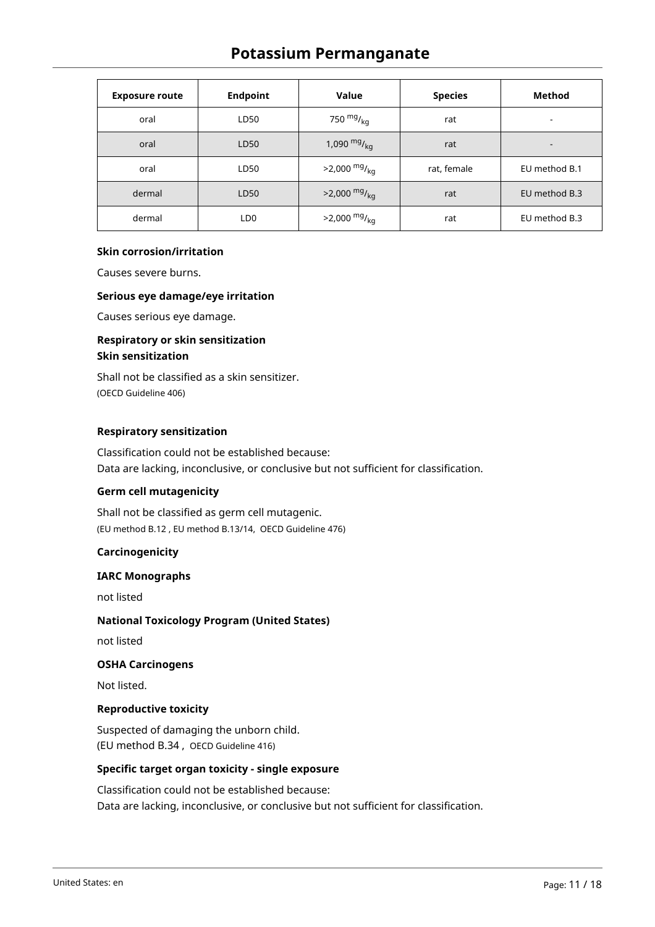# **Potassium Permanganate**

| <b>Exposure route</b> | <b>Endpoint</b> | Value                      | <b>Species</b> | Method                   |
|-----------------------|-----------------|----------------------------|----------------|--------------------------|
| oral                  | LD50            | 750 $mg/_{kq}$             | rat            | $\overline{\phantom{a}}$ |
| oral                  | LD50            | 1,090 $mg/_{kq}$           | rat            | $\overline{\phantom{a}}$ |
| oral                  | LD50            | $>2,000$ mg/ <sub>kg</sub> | rat, female    | EU method B.1            |
| dermal                | LD50            | $>2,000$ mg/ <sub>kg</sub> | rat            | EU method B.3            |
| dermal                | LD <sub>0</sub> | $>2,000$ mg/ <sub>kg</sub> | rat            | EU method B.3            |

#### **Skin corrosion/irritation**

Causes severe burns.

#### **Serious eye damage/eye irritation**

Causes serious eye damage.

## **Respiratory or skin sensitization Skin sensitization**

Shall not be classified as a skin sensitizer. (OECD Guideline 406)

#### **Respiratory sensitization**

Classification could not be established because: Data are lacking, inconclusive, or conclusive but not sufficient for classification.

#### **Germ cell mutagenicity**

Shall not be classified as germ cell mutagenic. (EU method B.12 , EU method B.13/14, OECD Guideline 476)

## **Carcinogenicity**

#### **IARC Monographs**

not listed

## **National Toxicology Program (United States)**

not listed

## **OSHA Carcinogens**

Not listed.

## **Reproductive toxicity**

Suspected of damaging the unborn child. (EU method B.34 , OECD Guideline 416)

## **Specific target organ toxicity - single exposure**

Classification could not be established because: Data are lacking, inconclusive, or conclusive but not sufficient for classification.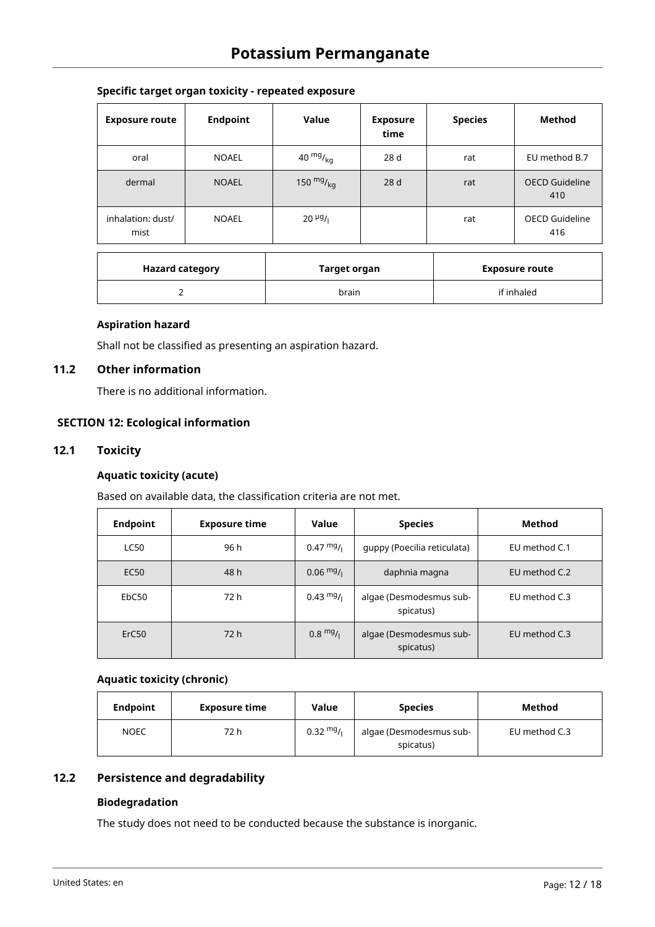## **Specific target organ toxicity - repeated exposure**

| <b>Exposure route</b>     | <b>Endpoint</b> | Value                | <b>Exposure</b><br>time | <b>Species</b> | Method                       |
|---------------------------|-----------------|----------------------|-------------------------|----------------|------------------------------|
| oral                      | <b>NOAEL</b>    | 40 $mg/kg$           | 28 <sub>d</sub>         | rat            | EU method B.7                |
| dermal                    | <b>NOAEL</b>    | 150 $mg/_{kq}$       | 28 d                    | rat            | <b>OECD Guideline</b><br>410 |
| inhalation: dust/<br>mist | <b>NOAEL</b>    | $20 \frac{\mu g}{I}$ |                         | rat            | OECD Guideline<br>416        |

| <b>Hazard category</b> | Target organ | <b>Exposure route</b> |
|------------------------|--------------|-----------------------|
| ∸                      | brain        | if inhaled            |

## **Aspiration hazard**

Shall not be classified as presenting an aspiration hazard.

## **11.2 Other information**

There is no additional information.

## **SECTION 12: Ecological information**

## **12.1 Toxicity**

## **Aquatic toxicity (acute)**

Based on available data, the classification criteria are not met.

| <b>Endpoint</b>   | <b>Exposure time</b> | Value               | <b>Species</b>                       | Method        |
|-------------------|----------------------|---------------------|--------------------------------------|---------------|
| <b>LC50</b>       | 96 h                 | $0.47 \frac{mg}{l}$ | quppy (Poecilia reticulata)          | EU method C.1 |
| EC50              | 48 h                 | $0.06 \frac{mg}{l}$ | daphnia magna                        | EU method C.2 |
| EbC50             | 72 h                 | $0.43 \frac{mg}{l}$ | algae (Desmodesmus sub-<br>spicatus) | EU method C.3 |
| ErC <sub>50</sub> | 72h                  | $0.8 \text{ mg/}$   | algae (Desmodesmus sub-<br>spicatus) | EU method C.3 |

## **Aquatic toxicity (chronic)**

| <b>Endpoint</b> | <b>Exposure time</b> | Value               | <b>Species</b>                       | Method        |
|-----------------|----------------------|---------------------|--------------------------------------|---------------|
| <b>NOEC</b>     | 72 h                 | $0.32 \frac{mg}{l}$ | algae (Desmodesmus sub-<br>spicatus) | EU method C.3 |

# **12.2 Persistence and degradability**

## **Biodegradation**

The study does not need to be conducted because the substance is inorganic.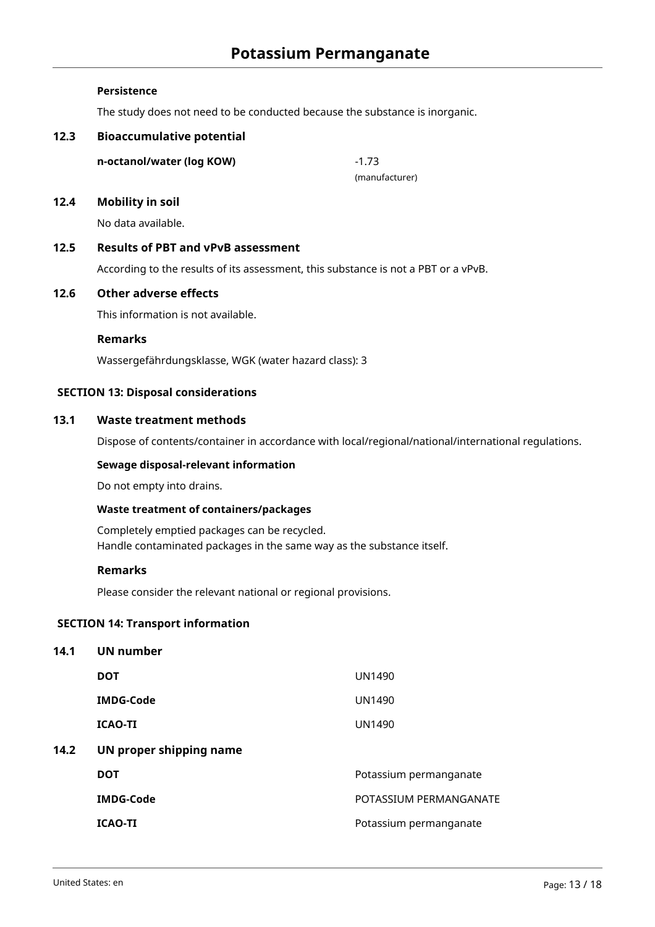#### **Persistence**

The study does not need to be conducted because the substance is inorganic.

## **12.3 Bioaccumulative potential**

**n-octanol/water (log KOW)** -1.73

(manufacturer)

#### **12.4 Mobility in soil**

No data available.

## **12.5 Results of PBT and vPvB assessment**

According to the results of its assessment, this substance is not a PBT or a vPvB.

#### **12.6 Other adverse effects**

This information is not available.

#### **Remarks**

Wassergefährdungsklasse, WGK (water hazard class): 3

#### **SECTION 13: Disposal considerations**

#### **13.1 Waste treatment methods**

Dispose of contents/container in accordance with local/regional/national/international regulations.

#### **Sewage disposal-relevant information**

Do not empty into drains.

#### **Waste treatment of containers/packages**

Completely emptied packages can be recycled. Handle contaminated packages in the same way as the substance itself.

#### **Remarks**

Please consider the relevant national or regional provisions.

## **SECTION 14: Transport information**

| 14.1 | UN number               |                        |
|------|-------------------------|------------------------|
|      | <b>DOT</b>              | UN1490                 |
|      | <b>IMDG-Code</b>        | <b>UN1490</b>          |
|      | <b>ICAO-TI</b>          | <b>UN1490</b>          |
| 14.2 | UN proper shipping name |                        |
|      | <b>DOT</b>              | Potassium permanganate |
|      | <b>IMDG-Code</b>        | POTASSIUM PERMANGANATE |
|      | <b>ICAO-TI</b>          | Potassium permanganate |
|      |                         |                        |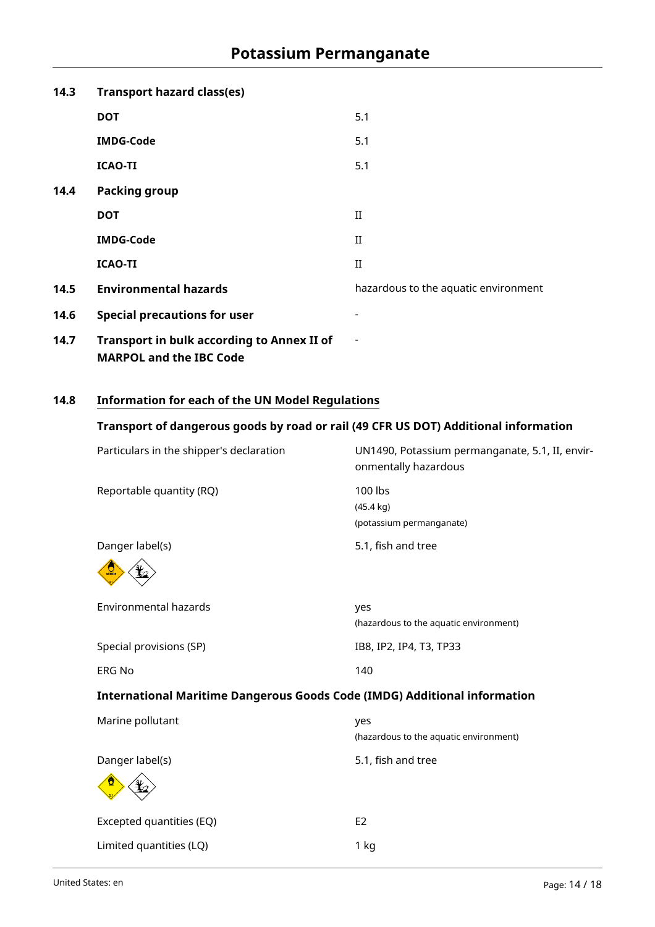| 14.3 | <b>Transport hazard class(es)</b>                                                   |                                      |
|------|-------------------------------------------------------------------------------------|--------------------------------------|
|      | <b>DOT</b>                                                                          | 5.1                                  |
|      | <b>IMDG-Code</b>                                                                    | 5.1                                  |
|      | <b>ICAO-TI</b>                                                                      | 5.1                                  |
| 14.4 | <b>Packing group</b>                                                                |                                      |
|      | <b>DOT</b>                                                                          | $_{\rm II}$                          |
|      | <b>IMDG-Code</b>                                                                    | $_{\rm II}$                          |
|      | <b>ICAO-TI</b>                                                                      | $_{\rm II}$                          |
| 14.5 | <b>Environmental hazards</b>                                                        | hazardous to the aquatic environment |
| 14.6 | <b>Special precautions for user</b>                                                 |                                      |
| 14.7 | <b>Transport in bulk according to Annex II of</b><br><b>MARPOL and the IBC Code</b> |                                      |

# **14.8 Information for each of the UN Model Regulations**

# **Transport of dangerous goods by road or rail (49 CFR US DOT) Additional information**

| Particulars in the shipper's declaration                                         | UN1490, Potassium permanganate, 5.1, II, envir-<br>onmentally hazardous |
|----------------------------------------------------------------------------------|-------------------------------------------------------------------------|
| Reportable quantity (RQ)                                                         | 100 lbs<br>$(45.4 \text{ kg})$<br>(potassium permanganate)              |
| Danger label(s)                                                                  | 5.1, fish and tree                                                      |
| Environmental hazards                                                            | yes<br>(hazardous to the aquatic environment)                           |
| Special provisions (SP)                                                          | IB8, IP2, IP4, T3, TP33                                                 |
| <b>ERG No</b>                                                                    | 140                                                                     |
| <b>International Maritime Dangerous Goods Code (IMDG) Additional information</b> |                                                                         |
| Marine pollutant                                                                 | yes<br>(hazardous to the aquatic environment)                           |
| Danger label(s)                                                                  | 5.1, fish and tree                                                      |
| Excepted quantities (EQ)                                                         | E <sub>2</sub>                                                          |
| Limited quantities (LQ)                                                          | 1 kg                                                                    |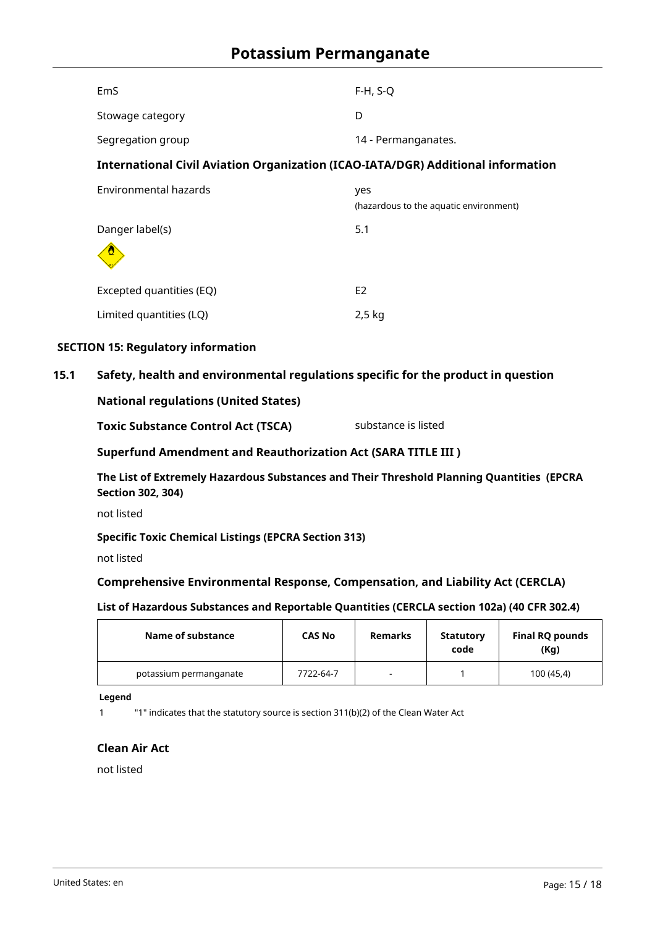| <b>EmS</b>                                                                       | $F-H, S-Q$                                    |
|----------------------------------------------------------------------------------|-----------------------------------------------|
| Stowage category                                                                 | D                                             |
| Segregation group                                                                | 14 - Permanganates.                           |
| International Civil Aviation Organization (ICAO-IATA/DGR) Additional information |                                               |
| Environmental hazards                                                            | yes<br>(hazardous to the aquatic environment) |
| Danger label(s)                                                                  | 5.1                                           |
| Excepted quantities (EQ)                                                         | E <sub>2</sub>                                |
| Limited quantities (LQ)                                                          | $2,5$ kg                                      |

## **SECTION 15: Regulatory information**

## **15.1 Safety, health and environmental regulations specific for the product in question**

## **National regulations (United States)**

| substance is listed |
|---------------------|
|                     |

## **Superfund Amendment and Reauthorization Act (SARA TITLE III )**

**The List of Extremely Hazardous Substances and Their Threshold Planning Quantities (EPCRA Section 302, 304)**

not listed

## **Specific Toxic Chemical Listings (EPCRA Section 313)**

not listed

## **Comprehensive Environmental Response, Compensation, and Liability Act (CERCLA)**

## **List of Hazardous Substances and Reportable Quantities (CERCLA section 102a) (40 CFR 302.4)**

| Name of substance      | <b>CAS No</b> | <b>Remarks</b> | Statutory<br>code | <b>Final RQ pounds</b><br>(Kg) |
|------------------------|---------------|----------------|-------------------|--------------------------------|
| potassium permanganate | 7722-64-7     |                |                   | 100 (45,4)                     |

#### **Legend**

1 "1" indicates that the statutory source is section 311(b)(2) of the Clean Water Act

## **Clean Air Act**

not listed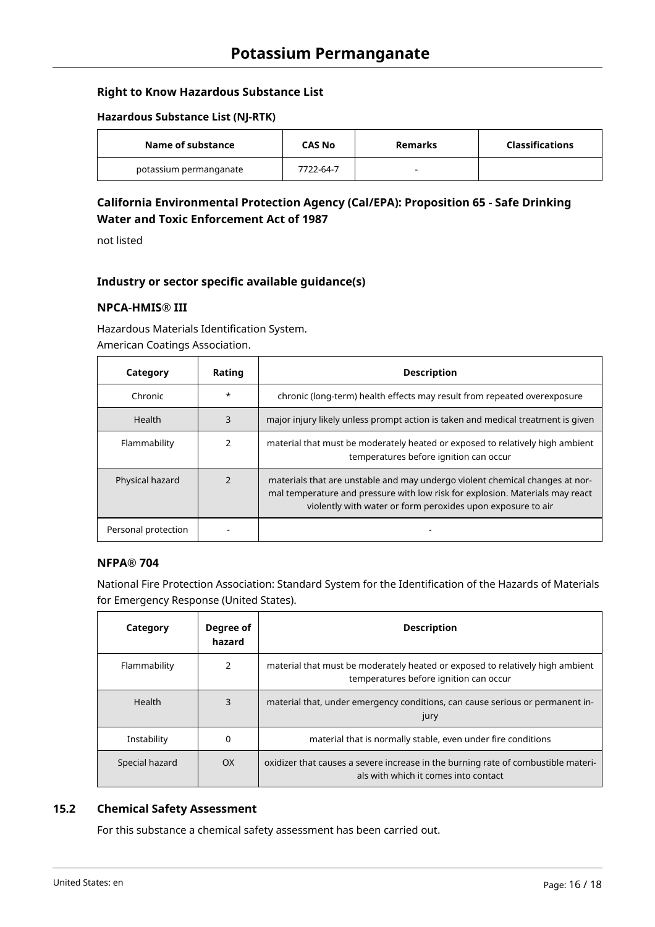## **Right to Know Hazardous Substance List**

### **Hazardous Substance List (NJ-RTK)**

| Name of substance      | CAS No    | Remarks | Classifications |
|------------------------|-----------|---------|-----------------|
| potassium permanganate | 7722-64-7 | -       |                 |

# **California Environmental Protection Agency (Cal/EPA): Proposition 65 - Safe Drinking Water and Toxic Enforcement Act of 1987**

not listed

## **Industry or sector specific available guidance(s)**

## **NPCA-HMIS® III**

Hazardous Materials Identification System. American Coatings Association.

| Category            | Rating  | <b>Description</b>                                                                                                                                                                                                           |
|---------------------|---------|------------------------------------------------------------------------------------------------------------------------------------------------------------------------------------------------------------------------------|
| Chronic             | $\star$ | chronic (long-term) health effects may result from repeated overexposure                                                                                                                                                     |
| Health              | 3       | major injury likely unless prompt action is taken and medical treatment is given                                                                                                                                             |
| Flammability        |         | material that must be moderately heated or exposed to relatively high ambient<br>temperatures before ignition can occur                                                                                                      |
| Physical hazard     |         | materials that are unstable and may undergo violent chemical changes at nor-<br>mal temperature and pressure with low risk for explosion. Materials may react<br>violently with water or form peroxides upon exposure to air |
| Personal protection |         |                                                                                                                                                                                                                              |

## **NFPA® 704**

National Fire Protection Association: Standard System for the Identification of the Hazards of Materials for Emergency Response (United States).

| Category       | Degree of<br>hazard | <b>Description</b>                                                                                                        |
|----------------|---------------------|---------------------------------------------------------------------------------------------------------------------------|
| Flammability   | 2                   | material that must be moderately heated or exposed to relatively high ambient<br>temperatures before ignition can occur   |
| Health         | 3                   | material that, under emergency conditions, can cause serious or permanent in-<br>jury                                     |
| Instability    | 0                   | material that is normally stable, even under fire conditions                                                              |
| Special hazard | OX                  | oxidizer that causes a severe increase in the burning rate of combustible materi-<br>als with which it comes into contact |

## **15.2 Chemical Safety Assessment**

For this substance a chemical safety assessment has been carried out.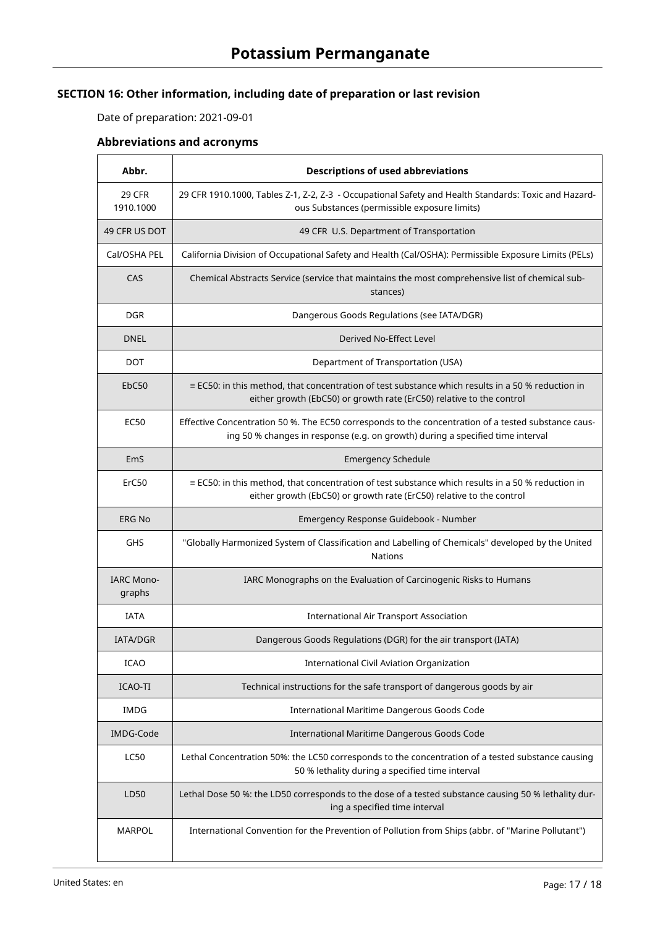# **SECTION 16: Other information, including date of preparation or last revision**

Date of preparation: 2021-09-01

# **Abbreviations and acronyms**

| Abbr.                       | <b>Descriptions of used abbreviations</b>                                                                                                                                             |
|-----------------------------|---------------------------------------------------------------------------------------------------------------------------------------------------------------------------------------|
| <b>29 CFR</b><br>1910.1000  | 29 CFR 1910.1000, Tables Z-1, Z-2, Z-3 - Occupational Safety and Health Standards: Toxic and Hazard-<br>ous Substances (permissible exposure limits)                                  |
| 49 CFR US DOT               | 49 CFR U.S. Department of Transportation                                                                                                                                              |
| Cal/OSHA PEL                | California Division of Occupational Safety and Health (Cal/OSHA): Permissible Exposure Limits (PELs)                                                                                  |
| CAS                         | Chemical Abstracts Service (service that maintains the most comprehensive list of chemical sub-<br>stances)                                                                           |
| <b>DGR</b>                  | Dangerous Goods Regulations (see IATA/DGR)                                                                                                                                            |
| <b>DNEL</b>                 | Derived No-Effect Level                                                                                                                                                               |
| DOT                         | Department of Transportation (USA)                                                                                                                                                    |
| EbC50                       | $\equiv$ EC50: in this method, that concentration of test substance which results in a 50 % reduction in<br>either growth (EbC50) or growth rate (ErC50) relative to the control      |
| <b>EC50</b>                 | Effective Concentration 50 %. The EC50 corresponds to the concentration of a tested substance caus-<br>ing 50 % changes in response (e.g. on growth) during a specified time interval |
| EmS                         | <b>Emergency Schedule</b>                                                                                                                                                             |
| ErC50                       | $\equiv$ EC50: in this method, that concentration of test substance which results in a 50 % reduction in<br>either growth (EbC50) or growth rate (ErC50) relative to the control      |
| <b>ERG No</b>               | Emergency Response Guidebook - Number                                                                                                                                                 |
| GHS                         | "Globally Harmonized System of Classification and Labelling of Chemicals" developed by the United<br><b>Nations</b>                                                                   |
| <b>IARC Mono-</b><br>graphs | IARC Monographs on the Evaluation of Carcinogenic Risks to Humans                                                                                                                     |
| <b>IATA</b>                 | <b>International Air Transport Association</b>                                                                                                                                        |
| <b>IATA/DGR</b>             | Dangerous Goods Regulations (DGR) for the air transport (IATA)                                                                                                                        |
| <b>ICAO</b>                 | <b>International Civil Aviation Organization</b>                                                                                                                                      |
| ICAO-TI                     | Technical instructions for the safe transport of dangerous goods by air                                                                                                               |
| <b>IMDG</b>                 | International Maritime Dangerous Goods Code                                                                                                                                           |
| IMDG-Code                   | International Maritime Dangerous Goods Code                                                                                                                                           |
| <b>LC50</b>                 | Lethal Concentration 50%: the LC50 corresponds to the concentration of a tested substance causing<br>50 % lethality during a specified time interval                                  |
| LD50                        | Lethal Dose 50 %: the LD50 corresponds to the dose of a tested substance causing 50 % lethality dur-<br>ing a specified time interval                                                 |
| MARPOL                      | International Convention for the Prevention of Pollution from Ships (abbr. of "Marine Pollutant")                                                                                     |